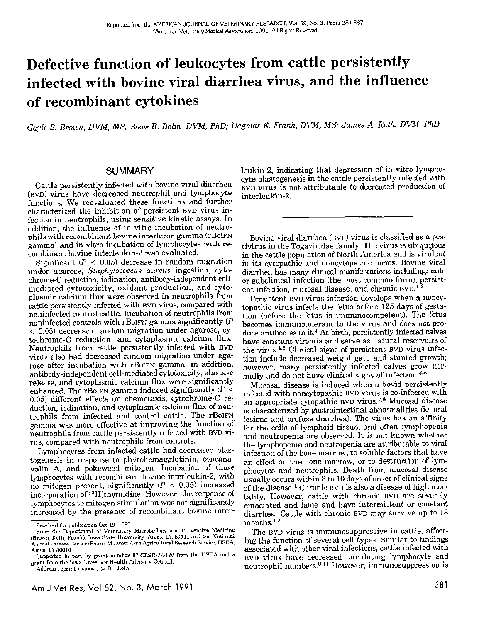# Defective function of leukocytes from cattle persistently infected with bovine viral diarrhea virus, and the influence of recombinant cytokines

*Gayle B. Brown, DVM, MS; Steve R. Bolin, DVM, PhD; Dagmar E. Frank, DVM, MS; James A. Roth, DVM, PhD* 

## SUMMARY

Cattle persistently infected with bovine viral diarrhea (BVD) virus have decreased neutrophil and lymphocyte functions. We reevaluated these functions and further characterized the inhibition of persistent BVD virus infection in neutrophils, using sensitive kinetic assays. In addition, the influence of in vitro incubation of neutrophils with recombinant bovine interferon gamma (rBoIFN gamma) and in vitro incubation of lymphocytes with recombinant bovine interleukin-2 was evaluated.

Significant ( $P < 0.05$ ) decrease in random migration under agarose, *Staphylococcus aureus* ingestion, cytochrome-C reduction, iodination, antibody-independent cellmediated cytotoxicity, oxidant production, and cytoplasmic calcium flux were observed in neutrophils from cattle persistently infected with BVD virus, compared with noninfected control cattle. Incubation of neutrophils from noninfected controls with rBoIFN gamma significantly (P < 0.05) decreased random migration under agarose, cytochrome-C reduction, and cytoplasmic calcium flux. Neutrophils from cattle persistently infected with BVD virus also had decreased random migration under agarose after incubation with rBoIFN gamma; in addition, antibody-independent cell-mediated cytotoxicity, elastase release, and cytoplasmic calcium flux were significantly enhanced. The rBoIFN gamma induced significantly ( $P \leq$ 0.05) different effects on chemotaxis, cytochrome-C re· duction, iodination, and cytoplasmic calcium flux of neutrophils from infected and control cattle. The rBoIFN gamma was more effective at improving the function of neutrophils from cattle persistently infected with BVD virus, compared with neutrophils from controls.

Lymphocytes from infected cattle had decreased blastogenesis in response to phytohemagglutinin, concana· valin A, and pokeweed mitogen. Incubation of those lymphocytes with recombinant bovine interleukin-2, with no mitogen present, significantly  $(P < 0.05)$  increased incorporation of [3H]thymidine. However, the response of lymphocytes to mitogen stimulation was not significantly increased by the presence of recombinant bovine inter-

Address reprint requests to Dr. Roth.

leukin-2, indicating that depression of in vitro lymphocyte blastogenesis in the cattle persistently infected with BVD virus is not attributable to decreased production of interleukin-2.

Bovine viral diarrhea (BvD) virus is classified as apestivirus in the Togaviridae family. The virus is ubiquitous in the cattle population of North America and is virulent in its cytopathic and noncytopathic forms. Bovine Viral diarrhea has many clinical manifestations including: mild or subclinical infection (the most common form), persistent infection, mucosal disease, and chronic  $BVD$ .<sup>1-3</sup>

Persistent BVD virus infection develops when a noncytopathic virus infects the fetus before 125 days of gestation (before the fetus is immunocompetent). The fetus becomes immunotolerant to the virus and does not produce antibodies to it.<sup>4</sup> At birth, persistently infected calves have constant viremia and serve as natural reservoirs of the virus. 4• 5 Clinical signs of persistent BVD virus infection include decreased weight gain and stunted growth; however, many persistently infected calves grow normally and do not have clinical signs of infection.<sup>4-6</sup>

Mucosal disease is induced when a bovid persistently infected with noncytopathic BVD virus is co-infected with an appropriate cytopathic BVD virus. 7, 8 Mucosal disease is characterized by gastrointestinal abnormalities (ie, oral lesions and profuse diarrhea). The virus has an affinity for the cells of lymphoid tissue, and often lymphopenia and neutropenia are observed. It is not known whether the lymphopenia and neutropenia are attributable to viral infection of the bone marrow, to soluble factors that have an effect on the bone marrow, or to destruction of lymphocytes and neutrophils. Death from mucosal disease usually occurs within 3 to 10 days of onset of clinical signs of the disease.<sup>1</sup> Chronic BVD is also a disease of high mortality. However, cattle with chronic BVD are severely emaciated and lame and have intermittent or constant diarrhea. Cattle with chronic BVD may survive up to 18 months. 1• 3

The BVD virus is immunosuppressive in cattle, affecting the function of several cell types. Similar to findings associated with other viral infections, cattle infected with BVD virus have decreased circulating lymphocyte and neutrophil numbers.<sup>9-11</sup> However, immunosuppression is

Received for publication Oct 19, 1989.

From the Department of Veterinary Microbiology and Preventive Medicine (Brown, Roth, Frank), Iowa State University, Ames, IA, 50011 and the National Animal Disease Center (Bolin), Midwest Area Agricultural Research Service, USDA, Ames, !A 50010.

Supported in part by grant number 87-CRSR-2-3120 from the USDA and a grant from the lowa Livestock Health Advisory Council.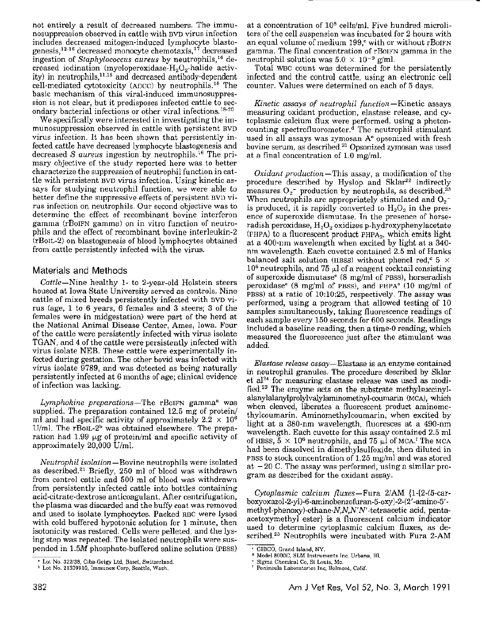not entirely a result of decreased numbers. The immunosuppression observed in cattle with BVD virus infection includes decreased mitogen-induced lymphocyte blastogenesis, 12- 16 decreased monocyte chemotaxis, 17 decreased ingestion of *Staphylococcus aureus* by neutrophils, 16 decreased iodination (myeloperoxidase- $H_2O_2$ -halide activity) in neutrophils,  $11.15$  and decreased antibody-dependent cell-mediated cytotoxicity (ADCC) by neutrophils. 15 The basic mechanism of this viral-induced immunosuppression is not clear, but it predisposes infected cattle to secondary bacterial infections or other viral infections. 18· 20

We specifically were interested in investigating the immunosuppression observed in cattle with persistent BVD virus infection. It has been shown that persistently infected cattle have decreased lymphocyte blastogenesis and decreased *S aureus* ingestion by neutrophils. 16 The primary objective of the study reported here was to better characterize the suppression of neutrophil function in cattle with persistent BYD virus infection. Using kinetic assays for studying neutrophil function, we were able to better define the suppressive effects of persistent BVD virus infection on neutrophils. Our second objective was to determine the effect of recombinant bovine interferon gamma (rBoIFN gamma) on in vitro function of neutrophils and the effect of recombinant bovine interleukin-2 (rBoIL-2) on blastogenesis of blood lymphocytes obtained from cattle persistently infected with the virus.

### Materials and Methods

*Cattle-Nine* healthy 1- to 2-year-old Holstein steers housed at Iowa State University served as controls. Nine cattle of mixed breeds persistently infected with BVD virus (age, 1 to 6 years, 6 females and 3 steers; 3 of the females were in midgestation) were part of the herd at the National Animal Disease Center, Ames, Iowa. Four of the cattle were persistently infected with virus isolate TGAN, and 4 of the cattle were persistently infected with virus isolate NEB. These cattle were experimentally infected during gestation. The other bovid was infected with virus isolate 9789, and was detected as being naturally persistently infected at 6 months of age; clinical evidence of infection was lacking.

*Lymphokine preparations*—The rBoIFN gamma<sup>a</sup> was supplied. The preparation contained 12.5 mg of protein/ ml and had specific activity of approximately  $2.2 \times 10^6$ U/ml. The  $r$ BoIL-2<sup>b</sup> was obtained elsewhere. The preparation had  $1.99 \mu g$  of protein/ml and specific activity of approximately 20,000 U/mL

*Neutrophil isolation-Bovine* neutrophils were isolated as described.<sup>21</sup> Briefly, 250 ml of blood was withdrawn from control cattle and 500 ml of blood was withdrawn from persistently infected cattle into bottles containing acid-citrate-dextrose anticoagulant. After centrifugation, the plasma was discarded and the huffy coat was removed and used to isolate lymphocytes. Packed RBC were lysed with cold buffered hypotonic solution for 1 minute, then isotonicity was restored. Cells were pelleted, and the lysing step was repeated. The isolated neutrophils were suspended in l.5M phosphate-buffered saline solution (PBSS)

at a concentration of 108 cells/ml. Five hundred microliters of the cell suspension was incubated for 2 hours with an equal volume of medium  $199$ , with or without rBoIFN gamma. The final concentration of rBoIFN gamma in the neutrophil solution was  $5.0 \times 10^{-9}$  g/ml.

Total WBC count was determined for the persistently infected and the control cattle, using an electronic cell counter. Values were determined on each of 5 days.

*Kinetic assays of neutrophil function* - Kinetic assays measuring oxidant production, elastase release, and cytoplasmic calcium flux were performed, using a photoncounting spectrofluorometer.d The neutrophil stimulant used in all assays was zymosan A<sup>e</sup> opsonized with fresh bovine serum, as described.<sup>21</sup> Opsonized zymosan was used at a final concentration of 1.0 mg/ml.

*Oxidant production* - This assay, a modification of the procedure described by Hyslop and Sklar<sup>22</sup> indirectly measures  $O_2$ <sup>-</sup> production by neutrophils, as described.<sup>23</sup> When neutrophils are appropriately stimulated and  $O_2^$ is produced, it is rapidly converted to  $H_2O_2$  in the presence of superoxide dismutase. In the presence of horseradish peroxidase,  $H_2O_2$  oxidizes p-hydroxyphenylacetate (PHPA) to a fluorescent product  $PHPA<sub>2</sub>$ , which emits light at a 400-nm wavelength when excited by light at a 340 nm wavelength. Each cuvette contained 2.5 ml of Hanks balanced salt solution (IIBSS) without phenol red,<sup> $c$ </sup> 5  $\times$  $10<sup>6</sup>$  neutrophils, and 75  $\mu$ l of a reagent cocktail consisting of superoxide dismutasee (8 mg/ml of PBSS), horseradish peroxidase<sup>e</sup> (8 mg/ml of PBSS), and PHPA<sup>e</sup> (10 mg/ml of PBSS) at a ratio of 10:10:25, respectively. The assay was performed, using a program that allowed testing of 10 samples simultaneously, taking fluorescence readings of each sample every 150 seconds for 600 seconds. Readings included a baseline reading, then a time-0 reading, which measured the fluorescence just after the stimulant was added.

*Elastase release assay-Elastase* is an enzyme contained in neutrophil granules. The procedure described by Sklar et al<sup>24</sup> for measuring elastase release was used as modified.23 The enzyme acts on the substrate methylsuccinylalanylalanylprolylvalylaminomethyl-coumarin (MCA), which when cleaved, liberates a fluorescent product aminomethylcoumarin. Aminomethylcoumarin, when excited by light at a 380-nm wavelength, fluoresces at a 490-nm wavelength. Each cuvette for this assay contained 2.5 ml of HBSS,  $5 \times 10^6$  neutrophils, and 75 µl of MCA.<sup> $\ell$ </sup> The MCA had been dissolved in dimethylsulfoxide, then diluted in PBSS to stock concentration of  $1.25 \text{ mg/ml}$  and was stored at  $-20$  C. The assay was performed, using a similar program as described for the oxidant assay.

*Cytoplasmic calcium fluxes*-Fura  $2/\text{AM}$  {1-[2-(5-carboxyoxazol-2-yl)-6-aminobenzofuran -5-oxy ]-2-(2 '-amino-5' methyl-phenoxy)-ethane-N,N,N'N'-tetraacetic acid, pentaacetoxymethyl ester} is a fluorescent calcium indicator used to determine cytoplasmic calcium fluxes, as described.23 Neutrophils were incubated with Fura 2-AM

<sup>•</sup> Lot No\_ 322138, Ciba·Geigy Ltd, Basel. Switzerland. <sup>b</sup> Lot No. 21309910, Immunex Corp, Seattle, Wash.

<sup>&#</sup>x27; GIBCO, Grand Island, NY.

<sup>•</sup> Model BOOOC, SLM Instruments Inc, Urbana, Ill.

Sigma Chemical Co, St Louis, Mo. ' Peninsula Laboratories Inc. Belmont, Calif.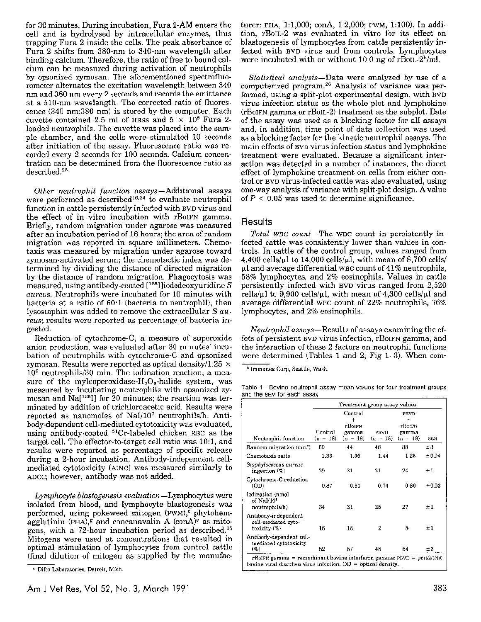for 30 minutes. During incubation, Fura 2-AM enters the cell and is hydrolysed by intracellular enzymes, thus trapping Fura 2 inside the cells. The peak absorbance of Fura 2 shifts from 380-nm to 340-nm wavelength after binding calcium. Therefore, the ratio of free to bound calcium can be measured during activation of neutrophils by opsonized zymosan. The aforementioned spectrofluorometer alternates the excitation wavelength between 340 nm and 380 nm every 2 seconds and records the emittance at a 510-nm wavelength. The corrected ratio of fluorescence (340 nm:380 nm) is stored by the computer. Each cuvette contained 2.5 ml of HBSS and  $5 \times 10^6$  Fura 2loaded neutrophils. The cuvette was placed into the sample chamber, and the cells were stimulated 10 seconds after initiation of the assay. Fluorescence ratio was recorded every 2 seconds for 100 seconds. Calcium concentration can be determined from the fluorescence ratio as described.<sup>25</sup>

*Other neutrophil function* assays-Additional assays were performed as described<sup>16,24</sup> to evaluate neutrophil function in cattle persistently infected with BVD virus and the effect of in vitro incubation with rBoIFN gamma. Briefly, random migration under agarose was measured after an incubation period of 18 hours; the area of random migration was reported in square millimeters. Chemotaxis was measured by migration under agarose toward zymosan-activated serum; the chemotactic index was determined by dividing the distance of directed migration by the distance of random migration. Phagocytosis was measured, using antibody-coated [125l]iododeoxyuridine *S aureus.* Neutrophils were incubated for 10 minutes with bacteria at a ratio of 60:1 (bacteria to neutrophil), then lysostaphin was added to remove the extracellular *Saureus;* results were reported as percentage of bacteria ingested.

Reduction of cytochrome-C, a measure of suporoxide anion production, was evaluated after 30 minutes' incubation of neutrophils with cytochrome-C and opsonized zymosan. Results were reported as optical density/1.25  $\times$ 106 neutrophils/30 min. The iodination reaction, a measure of the myleoperoxidase- $H_2O_2$ -halide system, was measured by incubating neutrophils with opsonized zymosan and  $Na[^{125}]$  for  $20$  minutes; the reaction was terminated by addition of trichloroacetic acid. Results were reported as nanomoles of Nal/107 neutrophils/h. Antibody-dependent cell-mediated cytotoxicity was evaluated, using antibody·coated 51Cr-labeled chicken RBC as the target cell. The effector-to-target cell ratio was 10:1, and results were reported as percentage of specific release during a 2-hour incubation. Antibody-independent cellmediated cytotoxicity (AINC) was measured similarly to ADCC; however, antibody was not added.

*Lymphocyte blastogenesis evaluation-Lymphocytes* were isolated from blood, and lymphocyte blastogenesis was performed, using pokeweed mitogen ( $PWM$ ),<sup>c</sup> phytohemagglutinin (PHA),<sup>g</sup> and concanavalin A (con $A$ <sup>)</sup><sup>e</sup> as mitogens, with a 72-hour incubation period as described.<sup>15</sup> Mitogons were used at concentrations that resulted in optimal stimulation of lymphocytes from control cattle (final dilution of mitogen as supplied by the manufacturer: PIIA, 1:1,000; conA, 1:2,000; PWM, 1:100). In addi· tion, rBoIL-2 was evaluated in vitro for its effect on blastogenesis of lymphocytes from cattle persistently infected with BVD virus and from controls. Lymphocytes were incubated with or without 10.0 ng of  $rB_0L-2<sup>h</sup>/m$ .

*Statistical analysis-Data* were analyzed by use of a computerized program. 26 Analysis of variance was performed, using a split-plot experimental design, with BVD virus infection status as the whole plot and lymphokine (rBoIFN gamma or rBoIL-2) treatment as the subplot. Date of the assay was used as a blocking factor for all assays and, in addition, time point of data collection was used as a blocking factor for the kinetic neutrophil assays. The main effects of BVD virus infection status and lymphokine treatment were evaluated. Because a significant interaction was detected in a number of instances, the direct effect of lymphokino treatment on cells from either control or BVD virus-infected cattle was also evaluated, using one-way analysis of variance with split-plot design. A value of  $P < 0.05$  was used to determine significance.

#### **Results**

*Total WBC count* The WBC count in persistently infected cattle was consistently lower than values in controls. In cattle of the control group, values ranged from 4,400 cells/ $\mu$ l to 14,000 cells/ $\mu$ l, with mean of 8,700 cells/  $\mu$ l and average differential WBC count of 41% neutrophils, 58% lymphocytes, and *2°/o* eosinophils. Values in cattle persistently infected with BVD virus ranged from 2,520 cells/ $\mu$ l to 9,900 cells/ $\mu$ l, with mean of 4,300 cells/ $\mu$ l and average differential WBC count of  $22\%$  neutrophils,  $76\%$ lymphocytes, and 2% eosinophils.

*Neutrophil* assays-Results of assays examining the effets of persistent BVD virus infection, rBoIFN gamma, and the interaction of these 2 factors on neutrophil functions were determined (Tables 1 and 2; Fig 1~3). When com-

<sup>h</sup> Immunex Corp, Seattle, Wash.

Table 1-Bovine neutrophil assay mean values for four treatment groups and the SEM for each assay

| Treatment group assay values. |                                                |                 |                   |                 |  |
|-------------------------------|------------------------------------------------|-----------------|-------------------|-----------------|--|
|                               | Control<br>$\ddot{}$                           |                 | PRVD<br>$\ddot{}$ |                 |  |
|                               |                                                |                 |                   |                 |  |
| $(n = 18)$                    | $(n = 18)$                                     | $(n = 18)$      | $(n = 18)$        | SE.4            |  |
| 60                            | 44                                             | 48              | 38                | ±3              |  |
| 1.33                          | 1.36                                           | 1.44            | 1.25              | ± 0.04          |  |
| 29                            | 31                                             | 21              | 24                | $\pm 1$         |  |
| 0.87                          | 0.80                                           | 0.74            | 0.80              | ±0.02           |  |
| 34                            | 31                                             | 25              | 27                | ±1              |  |
| 16                            | 18                                             | 2               | 8                 | ±Ι              |  |
| 52                            | 57                                             | 48              | 54                | ±3              |  |
|                               | Control<br>Random migration (mm <sup>2</sup> ) | eBoien<br>gamma | <b>FBVD</b>       | rBoifn<br>gamma |  |

<sup>•</sup> Difro Laboratories, Detroit, Mich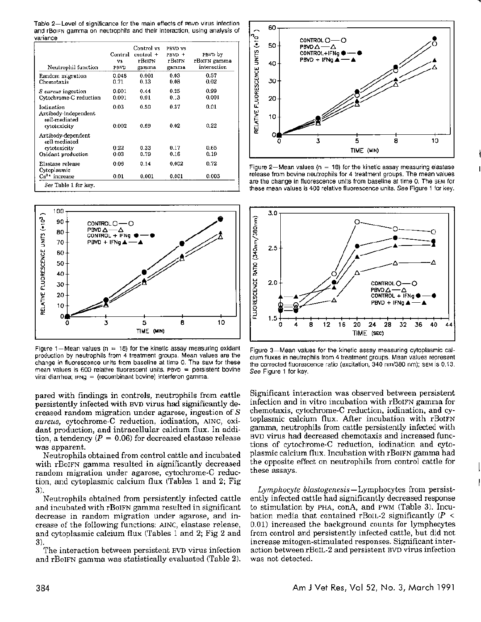Table 2-Level of significance for the main effects of PBVD virus infection and rB01FN gamma on neutrophils and their interaction, using analysis of variance

| Neutrophil function                                                       | Control<br>VS.<br>PBVD | Control vs<br>$control +$<br>rBolFN<br>gamma | PBVD VS<br>PBVD +<br>r BolFN<br>gamma | PBVD by<br>rBoiFN gamma<br>interaction |
|---------------------------------------------------------------------------|------------------------|----------------------------------------------|---------------------------------------|----------------------------------------|
| Random migration<br>Chemotaxis                                            | 0.048<br>0.71          | 0.001<br>0.13                                | 0.03<br>0.08                          | 0.57<br>0.02                           |
| <i>S aureus</i> ingestion<br>Cytochrome-C reduction                       | 0.001<br>0.001         | 0.44<br>0.01                                 | 0.25<br>0.3                           | 0.99<br>0.001                          |
| Iodination<br>Antibody-independent<br>cell-mediated<br>cytotoxicity       | 0.03<br>0.002          | 0.50<br>0.69                                 | 0.37<br>0.02                          | 0.01<br>0.22                           |
| Antibody-dependent<br>cell-mediated<br>evtotoxicity<br>Oxidant production | 0.22<br>0.03           | 0.33<br>0.79                                 | 0.17<br>0.16                          | 0.65<br>0.19                           |
| Elastase release<br>Cytoplasmic<br>$Ca^{2+}$ increase                     | 0.06<br>0.01           | 0.14<br>0.001                                | 0.002<br>0.001                        | 0.72<br>0.003                          |
| See Table 1 for kev.                                                      |                        |                                              |                                       |                                        |



Figure 1-Mean values ( $n = 18$ ) for the kinetic assay measuring oxidant production by neutrophils from 4 treatment groups. Mean values are the change in fluorescence units from baseline at time 0. The SEM for these mean values is  $600$  relative fluorescent units. Pevo = persistent bovine viral diarrhea; IFNQ = (recombinant bovine) interferon gamma.

pared with findings in controls, neutrophils from cattle persistently infected with BVD virus had significantly decreased random migration under agarose, ingestion of *S aureus,* cytochrome-C reduction, iodination, AJNC, oxidant production, and intracellular calcium flux. In addition, a tendency ( $P = 0.06$ ) for decreased elastase release was apparent.

Neutrophils obtained from control cattle and incubated with rBoIFN gamma resulted in significantly decreased random migration under agarose, cytochrome-C reduction, and cytoplasmic calcium flux (Tables 1 and 2; Fig 3).

Neutrophils obtained from persistently infected cattle and incubated with rBoIFN gamma resulted in significant decrease in random migration under agarose, and increase of the following functions: AINC, elastase release, and cytoplasmic calcium flux (Tables 1 and 2; Fig 2 and 3).

The interaction between persistent BVD virus infection and rBoIFN gamma was statistically evaluated (Table 2).



Figure 2-Mean values ( $n = 18$ ) for the kinetic assay measuring elastase release from bovine neutrophils for 4 treatment groups. The mean values are the change in fluorescence units from baseline at time 0. The SEM for these mean values is 400 relative fluorescence units. *See* Figure 1 for key.



Figure 3-Mean values for the kinetic assay measuring cytoplasmic calcium fluxes in neutrophils from 4 treatment groups. Mean values represent the corrected fluorescence ratio (excitation, 340 nm/380 nm): SEM is 0.13. See Figure 1 for key.

Significant interaction was observed between persistent infection and in vitro incubation with rBoIFN gamma for chemotaxis, cytochrome-C reduction, iodination, and cytoplasmic calcium flux. After incubation with rBolFN gamma, neutrophils from cattle persistently infected with BVD virus had decreased chemotaxis and increased functions of cytochrome-C reduction, iodination and cytoplasmic calcium flux. Incubation with rBoIFN gamma had the opposite effect on neutrophils from control cattle for these assays.

*Lymphocyte blastogenesis-Lymphocytes* from persistently infected cattle had significantly decreased response to stimulation by PHA, conA, and PWM (Table 3). Incubation media that contained rBoIL-2 significantly  $(P \leq$ 0.01) increased the background counts for lymphocytes from control and persistently infected cattle, but did not increase mitogen-stimulated responses. Significant interaction between rBoIL-2 and persistent RVD virus infection was not detected.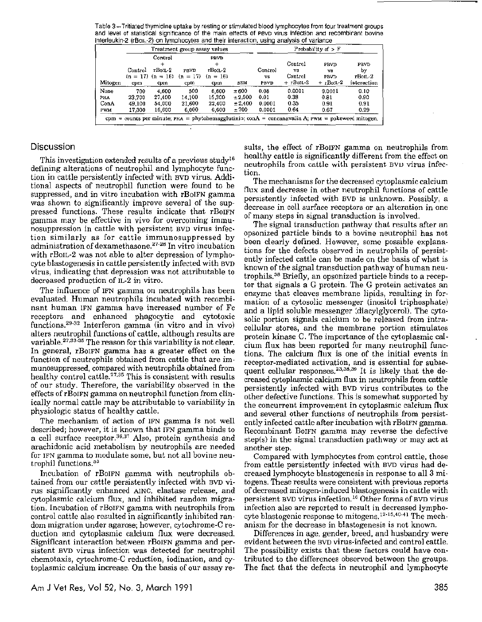Table 3-Tritiated thymidine uptake by resting or stimulated blood lymphocytes from four treatment groups and level of statistical significance of the main effects of PBVD virus infection and recombirant bovine interleukin-2 (r801L-2) on lymphocytes and their interaction, using analysis of variance

|                                                                                                   | Treatment group assay values |                                  |                    |                             | Probability of $> F$ |               |               |                          |                  |
|---------------------------------------------------------------------------------------------------|------------------------------|----------------------------------|--------------------|-----------------------------|----------------------|---------------|---------------|--------------------------|------------------|
|                                                                                                   |                              | Control                          |                    | PBVD                        |                      |               | Control       | PBVD                     | PBVD             |
|                                                                                                   | Control                      | rBoil 2<br>$(n = 17)$ $(n = 16)$ | PRVD<br>$(n = 17)$ | $r$ Boil $-2$<br>$(n = 16)$ |                      | Control<br>vs | VS<br>Control | vs<br>PBVD               | by<br>$r$ Boil-2 |
| Mitogen                                                                                           | cpm                          | cpm                              | cpm                | cpm                         | SEM                  | PBVD          | $+$ rBoiL-2   | $+$ rBo <sub>IL</sub> -2 | interaction      |
| None                                                                                              | 700                          | 4.600                            | 500                | 6,600                       | ±600                 | 0.08          | 0.0001        | 0.0001                   | 0.10             |
| PHA.                                                                                              | 23.700                       | 27.400                           | 14.100             | 15.300                      | ± 2.500              | 0.01          | 0.38          | 0.81                     | 0.90             |
| ConA                                                                                              | 49.100                       | 54,000                           | 21,600             | 22,400                      | ± 2.400              | 0.0001        | 0.35          | 0.91                     | 0.91             |
| <b>PWM</b>                                                                                        | 17.300                       | 16,600                           | 6,000              | 6,600                       | ±700                 | 0.0001        | 0.64          | 0.67                     | 0.29             |
| cpm = counts per minute; PHA = phytohemagglutinin; conA = concanavalin A; PWM = pokeweed mitogen, |                              |                                  |                    |                             |                      |               |               |                          |                  |

## **Discussion**

This investigation extended results of a previous study'6 defining alterations of neutrophil and lymphocyte function in cattle persistently infected with BVD virus. Additional aspects of neutrophil function were found to be suppressed, and in vitro incubation with rBoIFN gamma was shown to significantly improve several of the suppressed functions. These results indicate that rBoIFN gamma may be effective in vivo for overcoming immunosuppression in cattle with persistent BVD virus infection similarly as for cattle immunosuppressed by administration of dexamethasone.<sup>27-28</sup> In vitro incubation with rBoIL-2 was not able to alter depression of lymphocyte blastogenesis in cattle persistently infected with BVD virus, indicating that depression was not attributable to decreased production of IL-2 in vitro.

The influence of IFN gamma on neutrophils has been evaluated. Human neutrophils incubated with recombinant human IFN gamma have increased number of Fe receptors and enhanced phagocytic and cytotoxic functions.<sup>29-32</sup> Interferon gamma (in vitro and in vivo) alters neutrophil functions of cattle, although results are variable.<sup>27,33-35</sup> The reason for this variability is not clear. In general, rBoIFN gamma has a greater effect on the function of neutrophils obtained from cattle that are immunosuppressed, compared with neutrophils obtained from healthy control cattle.<sup>27,35</sup> This is consistent with results of our study, Therefore, the variability observed in the effects of rBoIFN gamma on neutrophil function from clinically normal cattle may be attributable to variability in physiologic status of healthy cattle.

The mechanism of action of IFN gamma is not well described; however, it is known that IFN gamma binds to a cell surface receptor.<sup>36,37</sup> Also, protein synthesis and arachidonic acid metabolism by neutrophils are needed for IFN gamma to modulate some, but not all bovine neutrophil functions.<sup>33</sup>

Incubation of rBoIFN gamma with neutrophils obtained from our cattle persistently infected with BVD virus significantly enhanced AINC, elastase release, and cytoplasmic calcium flux, and inhibited random migration. Incubation of rBoIFN gamma with neutrophils from control cattle also resulted in significantly inhibited random migration under agarose; however, cytochrome-C reduction and cytoplasmic calcium flux were decreased. Significant interaction between rBoIFN gamma and persistent BVD virus infection was detected for neutrophil chemotaxis, cytochrome-C reduction, iodination, and cytoplasmic calcium increase. On the basis of our assay re-

sults, the effect of rBoIFN gamma on neutrophils from healthy cattle is significantly different from the effect on neutrophils from cattle with persistent BVD virus infection.

The mechanisms for the decreased cytoplasmic calcium flux and decrease in other neutrophil functions of cattle persistently infected with BVD is unknown. Possibly, a decrease in cell surface receptors or an alteration in one of many steps in signal transduction is involved.

The signal transduction pathway that results after an opsonized particle binds to a bovine neutrophil has not been clearly defined. However, some possible explanations for the defects observed in neutrophils of persistently infected cattle can be made on the basis of what is known of the signal transduction pathway of human neutrophils.38 Briefly, an opsonized particle binds to a receptor that signals a G protein. The G protein activates an enzyme that cleaves membrane lipids, resulting in formation of a cytosolic messenger (inositol triphosphate) and a lipid soluble messenger (diacylglycerol). The cytosolic portion signals calcium to be released from intracellular stores, and the membrane portion stimulates protein kinase C. The importance of the cytoplasmic calcium flux has been reported for many neutrophil functions. The calcium flux is one of the initial events in receptor-mediated activation, and is essential for subsequent cellular responses.<sup>23,38,39</sup> It is likely that the decreased cytoplasmic calcium flux in neutrophils from cattle persistently infected with BVD virus contributes to the other defective functions. This is somewhat supported by the concurrent improvement in cytoplasmic calcium flux and several other functions of neutrophils from persistently infected cattle after incubation with rBoIFN gamma. Recombinant BorFN gamma may reverse the defective step(s) in the signal transduction pathway or may act at another step.

Compared with lymphocytes from control cattle, those from cattle persistently infected with BVD virus had decreased lymphocyte blastogenesis in response to all 3 mitogens. These results were consistent with previous reports of decreased mitogen-induced blastogenesis in cattle with persistent BVD virus infection.<sup>16</sup> Other forms of BVD virus infection also are reported to result in decreased lymphocyte blastogenic response to mitogens.<sup>12-15,40-41</sup> The mechanism for the decrease in blastogenesis is not known.

Differences in age, gender, breed, and husbandry were evident between the BVD virus-infected and control cattle. The possibility exists that these factors could have contributed to the differences observed between the groups. The fact that the defects in neutrophil and lymphocyte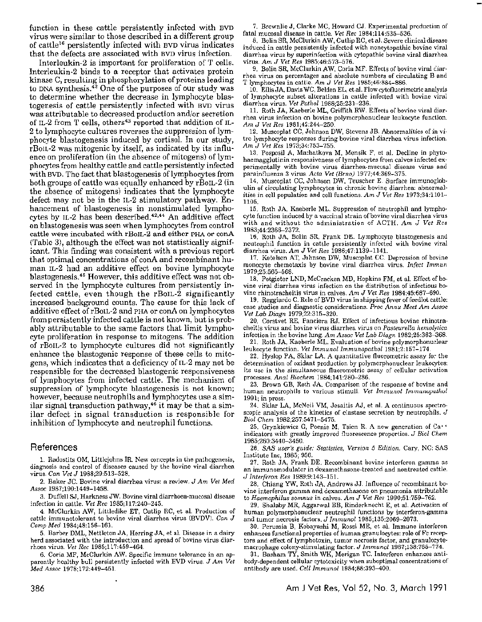function in these cattle persistently infected with BVD virus were similar to those described in a different group of cattle16 persistently infected with BVD virus indicates that the defects are associated with BVD virus infection.

lnterleukin-2 is important for proliferation of T cells. Interleukin-2 binds to a receptor that activates protein kinase C, resulting in phosphorylation of proteins leading to DNA synthesis. $42$  One of the purposes of our study was to determine whether the decrease in lymphocyte blastogenesis of cattle persistently infected with BVD virus was attributable to decreased production and/or secretion of IL-2 from T cells, others<sup>43</sup> reported that addition of IL-2 to lymphocyte cultures reverses the suppression of lymphocyte blastogenesis induced by cortisol. In our study, rBoIL-2 was mitogenic by itself, as indicated by its influence on proliferation (in the absence of mitogens) of lymphocytes from healthy cattle and cattle persistently infected with BVD. The fact that blastogenesis of lymphocytes from both groups of cattle was equally enhanced by rBoIL-2 (in the absence of mitogens) indicates that the lymphocyte defect may not be in the IL-2 stimulatory pathway. Enhancement of blastogenesis in nonstimulated lymphocytes by IL-2 has been described. 42, 44 An additive effect on blastogenesis was seen when lymphocytes from control cattle were incubated with rBoIL-2 and either PHA or conA (Table 3), although the effect was not statistically significant. This finding was consistent with a previous report that optimal concentrations of conA and recombinant human IL-2 had an additive effect on bovine lymphocyte blastogenesis.45 However, this additive effect was not observed in the lymphocyte cultures from persistently infected cattle, even though the rBoIL-2 significantly increased background counts. The cause for this lack of additive effect of rBoIL-2 and PHA or conA on lymphocytes from persistently infected cattle is not known, but is probably attributable to the same factors that limit lymphocyte proliferation in response to mitogens. The addition of rBoIL-2 to lymphocyte cultures did not significantly enhance the blastogenic response of these cells to mitogens, which indicates that a deficiency of IL-2 may not be responsible for the decreased blastogenic responsiveness of lymphocytes from infected cattle. The mechanism of suppression of lymphocyte blastogenesis is not known; however, because neutrophils and lymphocytes use a similar signal transduction pathway,<sup>46</sup> it may be that a similar defect in signal transduction is responsible for inhibition of lymphocyte and neutrophil functions.

#### References

1. Radostits OM, Littlcjohns IR. New concepts in the pathogenesis, diagnosis and control of diseases caused by the bovine viral diarrhea virus. *Can Vet* J 1988;29:513-528.

2. Baker JC. Bovine viral diarrhea virus: a review. J *Am Vet Med Assoc* 1987;190:1449-1458.

3. Duffell SJ, Harkness JW. Bovine viral diarrhoea-mucosa] disease infection in cattle. *Vet Rec* 1985;117:240-245.

4. McClurkin AW, Littledike ET, Cutlip RC, et al. Production of cattle immunotolerant to bovine viral diarrhea virus (BVDV). Can J Comp Med 1984;48:156-161.

5. Barber DML, Nettleton JA, Herring JA, et al. Disease in a dairy herd associated with the introduction and spread of bovine virus diarrhoea virus. *Vet Rec* 1985;117:459-464.

6. Coria MF, McClurkin AW. Specific immune tolerance in an apparently healthy bull persistently infected with EVD virus. J *Am Vet Med A.ssoc* 1978;172:449-451.

7. Brownlie J, Clarke MC, Howard CJ. Experimental production of fatal mucosa! disease in cattle. *Vet Rec* 1984;114:535-536.

8. Bolin SR, McClurkin AW, Cutlip RC, et al. Severe clinical disease induced in cattle persistently infected with noncytopathic bovinc viral diarrhea virus by supcrinfection with cytopathic bovine viral diarrhea virus. *Am* J *Vet Res* 1985;46:573-576.

9. Bolin SR, McClurkin AW, Coria MF. Effects of bovine viral Ciarrhea virus on percentages and absolute numbers of circulating B and T lymphocytes in cattle. Am *J Vet Res* 1985;46:884-886.

10. Ellis JA, Davis WC, Belden EL, et al. Flow cytofluorimetric analysis of lymphocyte subset alterations in cattle infected with bovine viral diarrhea virus. *Vet Pothol* 1988;25:231-236.

11. Roth JA, Kaeberle ML, Grilfith RW. Effects of bovine viral diarrhea virus infection on bovine polymorphonuclear leukocyte function. *Am* J *Vet Res* 1981;42:244-250.

12. Muscoplat CC, Johnson DW, Stevens JB. Abnormalities of in vitro lymphocyte responses during bovine viral diarrhea virus infection. *Am* J *Vet Res* 1973;34:753-755.

13. Posposil A, Machatkova M, Mensik F, et al. Decline in phytohaemagglutinin responsiveness of lymphocytes from calves infected experimentally with bovine virus diarrhea-mucosal disease virus and parainfluenza 3 virus *Acta Vet (Brno)* 1977;44:369-375.

14. Muscoplat CC, Johnson DW, Teuscher E. Surface immunoglobulin of circulating lymphocytes in chronic bovine diarrhea: abnormalities in cell population and cell functions. *Am* J *Vet Res* 1973;34:1101- 1105.

15. Roth JA, Kaeberle ML. Suppression of neutrophil and lymphocyte function induced by a vaccinal strain of bovine viral diarrhea virus with and without the administration of ACTH. *Am* J *Vet Res*  1983;44:2366-2372.

16. Roth JA, Bolin SR, Frank DE. Lymphocyte blastogenesis and neutrophil function in cattle persistently infected with bovine viral diarrhea virus. *Am* J *Vet Res* 1986;47:1139-1141.

17. Ketelsen AT, Johnson DW, Muscoplat CC. Depression of bovine monocyte chemotaxis by bovine viral diarrhea virus. *Infect lmmun*  1979;25:565-568.

18. Potgieter LND, McCracken MD, Hopkins FM, et al. Effect of bovine viral diarrhea virus infection on the distribution of infectious bovine rhinotracheitis virus in calves. *Am* J *Vet Res* 1984;45:687-690.

19. Reggiardo C. Role of BVD virus in shipping fever of feedlot cattle: case studies and diagnostic considerations. *Proc Annu Meet Am Assoc Vet Lab Diagn* 1979;22:315-320.

20. Corstvet RE, Fanciera RJ. Effect of infectious bovine rhinotracheitis virus and bovine virus diarrhea virus on *Pa.steurella hemolytica*  infection in the bovine lung. *Am Assoc Vet Lab Diagn* 1982;25:363--368.

21. Roth JA, Kaeberle ML. Evaluation of bovine polymorphonuclear leukocyte function. *Vet lmmunol Immunopathol* 1981;2:157-174.

22. Hyslop PA, Sklar LA. A quantitative fluorometric assay for the determination of oxidant production by polymorphonuclear leukocytes: its use in the simultaneous fluorometric assay of cellular activation processes. *Anal Biochem* 1984;141:280-286.

23. Brown GB, Roth JA. Comparison of the response of bovine and human neutrophils to various stimuli. *Vet lmmunol Immunupulhul*  1991; in press.

24. Sklar LA, McNeil VM, Jesaitis AJ, et al. A continuous spectroscopic analysis of the kinetics of elastase secretion by neutrophils. J *Biol Chem* 1982;257:5471-5475.

25. Grynkiewicz G, Poenie M, Tsien R. A new generation of Ca•• indicators with greatly improved fluorescence properties. J Biol Chem l 985;260:3440-3450.

26. *SAS user's guide: Statistics, Version 5 Edition.* Cary, NC: SAS Institute Inc, 1985; 956.<br>27. Roth JA, Frank DE, Recombinant bovine interferon gamma as

an immunomodulator in dexamethasone-treated and nontreated cattle. J *Interferon Res* 1989;9:143-151.

28. Chiang YW, Roth JA, Andrews JJ. Influence of recombinant bovine interferon gamma and dexamethasone on pneumonia attributable to *Haemophilus somnus* in calves. Am J Vet Res 1990;51:759-762.

29. Shalaby MR, Aggarwal BB, Rinderknecht E, et al. Activation of human polymorphonuclear neutrophil functions by interferon-gamma and tumor necrosis factors. J *Immunol* 1985;135:2069-2073.

30. Perussia B, Kobayashi M, Rossi ME, et al. Immune interferon enhances functional properties of human granulocytes: role of Fe receptors and effect of lymphotoxin, tumor necrosis factor, and granulocytemacrophage colony-stimulating factor. J Immunol 1987;138:765-774.

31. Basham TY, Smith WK, Merigan TC. Interferon enhances antibody-dependent cellular cytotoxicity when suboptimal concentrations of antibody are used. Cell Immunol 1984;88:393-400.